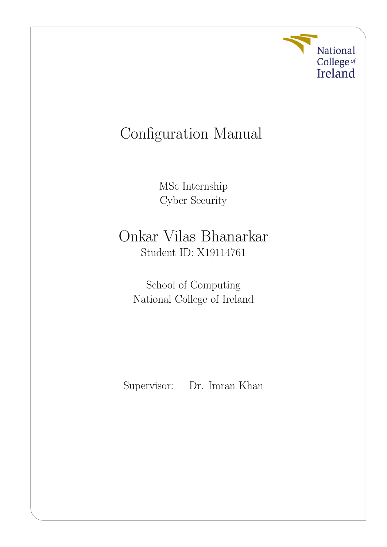# National College<sup>of</sup><br>Ireland

## Configuration Manual

MSc Internship Cyber Security

## Onkar Vilas Bhanarkar Student ID: X19114761

School of Computing National College of Ireland

Supervisor: Dr. Imran Khan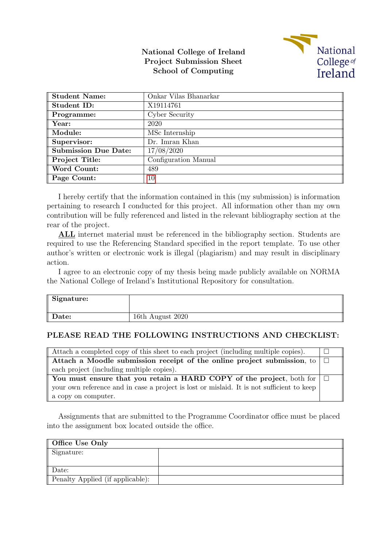#### National College of Ireland Project Submission Sheet School of Computing



| <b>Student Name:</b>        | Onkar Vilas Bhanarkar |
|-----------------------------|-----------------------|
| Student ID:                 | X19114761             |
| Programme:                  | Cyber Security        |
| Year:                       | 2020                  |
| Module:                     | MSc Internship        |
| Supervisor:                 | Dr. Imran Khan        |
| <b>Submission Due Date:</b> | 17/08/2020            |
| Project Title:              | Configuration Manual  |
| Word Count:                 | 489                   |
| Page Count:                 | 10                    |

I hereby certify that the information contained in this (my submission) is information pertaining to research I conducted for this project. All information other than my own contribution will be fully referenced and listed in the relevant bibliography section at the rear of the project.

ALL internet material must be referenced in the bibliography section. Students are required to use the Referencing Standard specified in the report template. To use other author's written or electronic work is illegal (plagiarism) and may result in disciplinary action.

I agree to an electronic copy of my thesis being made publicly available on NORMA the National College of Ireland's Institutional Repository for consultation.

| Signature: |                  |
|------------|------------------|
| Date:      | 16th August 2020 |

#### PLEASE READ THE FOLLOWING INSTRUCTIONS AND CHECKLIST:

| Attach a completed copy of this sheet to each project (including multiple copies).        |  |  |  |  |
|-------------------------------------------------------------------------------------------|--|--|--|--|
| Attach a Moodle submission receipt of the online project submission, to $\Box$            |  |  |  |  |
| each project (including multiple copies).                                                 |  |  |  |  |
| You must ensure that you retain a HARD COPY of the project, both for $\Box$               |  |  |  |  |
| your own reference and in case a project is lost or mislaid. It is not sufficient to keep |  |  |  |  |
| a copy on computer.                                                                       |  |  |  |  |

Assignments that are submitted to the Programme Coordinator office must be placed into the assignment box located outside the office.

| Office Use Only                  |  |  |  |  |  |
|----------------------------------|--|--|--|--|--|
| Signature:                       |  |  |  |  |  |
|                                  |  |  |  |  |  |
| Date:                            |  |  |  |  |  |
| Penalty Applied (if applicable): |  |  |  |  |  |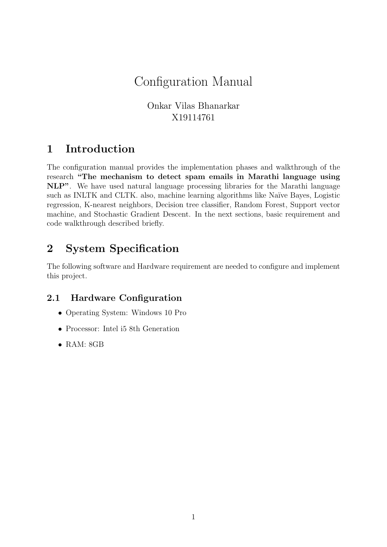## Configuration Manual

Onkar Vilas Bhanarkar X19114761

### 1 Introduction

The configuration manual provides the implementation phases and walkthrough of the research "The mechanism to detect spam emails in Marathi language using NLP". We have used natural language processing libraries for the Marathi language such as INLTK and CLTK. also, machine learning algorithms like Naïve Bayes, Logistic regression, K-nearest neighbors, Decision tree classifier, Random Forest, Support vector machine, and Stochastic Gradient Descent. In the next sections, basic requirement and code walkthrough described briefly.

## 2 System Specification

The following software and Hardware requirement are needed to configure and implement this project.

#### 2.1 Hardware Configuration

- Operating System: Windows 10 Pro
- Processor: Intel i5 8th Generation
- RAM: 8GB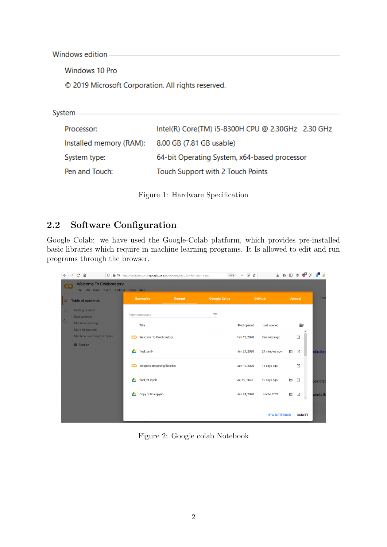Windows edition

Windows 10 Pro

© 2019 Microsoft Corporation. All rights reserved.

| <b>System</b> |                         |                                                   |
|---------------|-------------------------|---------------------------------------------------|
|               |                         |                                                   |
|               | Processor:              | Intel(R) Core(TM) i5-8300H CPU @ 2.30GHz 2.30 GHz |
|               | Installed memory (RAM): | 8.00 GB (7.81 GB usable)                          |
|               | System type:            | 64-bit Operating System, x64-based processor      |
|               | Pen and Touch:          | Touch Support with 2 Touch Points                 |
|               |                         |                                                   |

Figure 1: Hardware Specification

#### 2.2 Software Configuration

Google Colab: we have used the Google-Colab platform, which provides pre-installed basic libraries which require in machine learning programs. It Is allowed to edit and run programs through the browser.

| $\leftarrow$                | G<br>⇧                                                                     | $\circ$ |    |                     | 4 25 https://colab.research.google.com/notebooks/intro.ipynb#recent=true | 110%                | … ⊙ ☆               | $\overline{\mathcal{F}}$ | $\blacksquare$ | $\circledcirc$ | $\mathbf{e}^{\mathbf{G}}$ x $\mathbf{e}^{\mathbf{H}}$ |           |
|-----------------------------|----------------------------------------------------------------------------|---------|----|---------------------|--------------------------------------------------------------------------|---------------------|---------------------|--------------------------|----------------|----------------|-------------------------------------------------------|-----------|
| $\overline{\mathsf{CO}}$    | <b>Welcome To Colaboratory</b><br>File Edit View Insert Runtime Tools Help |         |    |                     |                                                                          |                     |                     |                          |                |                |                                                       |           |
| 曲                           | <b>Table of contents</b>                                                   |         |    | <b>Examples</b>     | Recent                                                                   | <b>Google Drive</b> |                     | GitHub                   |                | Upload         |                                                       | Cor       |
| $\leftrightarrow$<br>$\Box$ | <b>Getting started</b><br>Data science                                     |         |    | Filter notebooks    |                                                                          | Ξ                   |                     |                          |                |                |                                                       |           |
|                             | <b>Machine learning</b><br><b>More Resources</b>                           |         |    | Title               |                                                                          |                     | <b>First opened</b> | Last opened              |                | îΞ             |                                                       |           |
|                             | <b>Machine Learning Examples</b>                                           |         | co |                     | <b>Welcome To Colaboratory</b>                                           |                     | Feb 12, 2020        | 0 minutes ago            |                | Ø              |                                                       |           |
|                             | <b>B</b> Section                                                           |         |    | final.ipynb         |                                                                          |                     | Jun 21, 2020        | 21 minutes ago           | <b>D</b>       | Ø              |                                                       | duction   |
|                             |                                                                            |         | co |                     | <b>Snippets: Importing libraries</b>                                     |                     | Jun 19, 2020        | 11 days ago              |                | 乙              |                                                       |           |
|                             |                                                                            |         |    | final_v1.ipynb      |                                                                          |                     | Jul 22, 2020        | 12 days ago              | <b>D</b>       | Ø              |                                                       | ook that  |
|                             |                                                                            |         |    | Copy of final.ipynb |                                                                          |                     | Jun 24, 2020        | Jun 24, 2020             | 図              | Ø              | $_{\check{}}$                                         | prints th |
|                             |                                                                            |         |    |                     |                                                                          |                     |                     | <b>NEW NOTEBOOK</b>      |                | <b>CANCEL</b>  |                                                       |           |

Figure 2: Google colab Notebook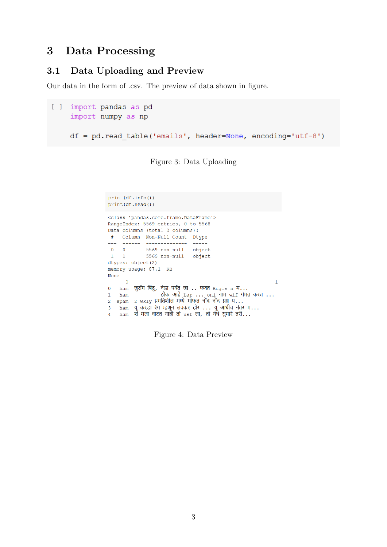### 3 Data Processing

#### 3.1 Data Uploading and Preview

Our data in the form of .csv. The preview of data shown in figure.

```
[ ] import pandas as pd
    import numpy as np
    df = pd.read_table('emails', header=None, encoding='utf-8')
```
Figure 3: Data Uploading

```
print(df.info())print(df.head())
<class 'pandas.core.frame.DataFrame'>
RangeIndex: 5569 entries, 0 to 5568
Data columns (total 2 columns):
 # Column Non-Null Count Dtype
- -0 0 5569 non-null object<br>1 1 5569 non-null object
 \mathbf{1}=\mathbf{1}^\top5569 non-null object
dtypes: object(2)
memory usage: 87.1+ KB
None
         \Omega\mathbf{1}ham जुराँग बिंदू, वेड़ा पर्यंत जा .. फक्त Bugis n म...
\overline{0}ठीक आहे Lar ... oni नाम wif गमत करत ...
\mathbf{1}ham
2 spam 2 wkly प्रगतिशील मध्ये मोफत नोंद नोंद प्रश्न प...
\frac{2}{3} ham \frac{1}{4} \frac{3}{4} and \frac{1}{100} in the first independent of \frac{1}{4} and \frac{1}{4} in the first \frac{1}{4}...<br>4 ham \frac{1}{4} Hend and and and and \frac{1}{4} and \frac{1}{4} and \frac{1}{4} and \frac{1}{4} and
```
Figure 4: Data Preview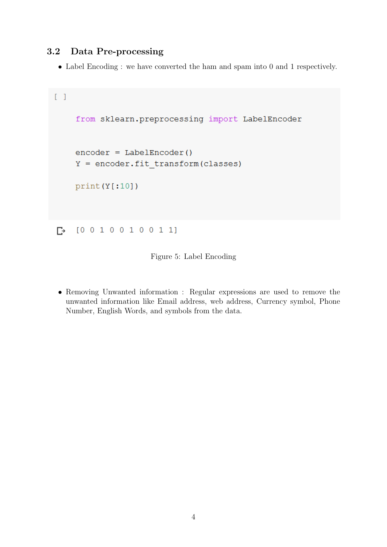#### 3.2 Data Pre-processing

• Label Encoding : we have converted the ham and spam into 0 and 1 respectively.

```
\mathsf{F} 1
    from sklearn.preprocessing import LabelEncoder
    encoder = LabelEncoder()Y = encoder.fit transform(classes)print(Y[:10])\Gamma [0010010011]
```
Figure 5: Label Encoding

• Removing Unwanted information : Regular expressions are used to remove the unwanted information like Email address, web address, Currency symbol, Phone Number, English Words, and symbols from the data.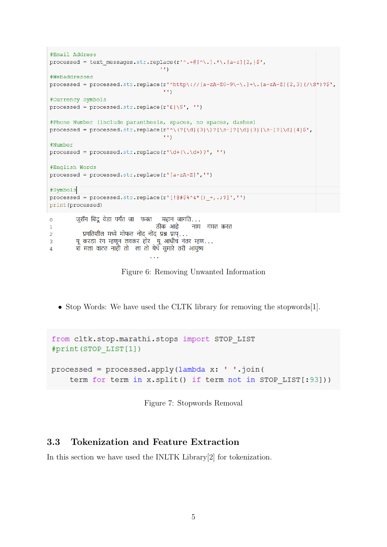```
#Email Address
processed = text messages.str.replace(r'.+\theta[^\.].*\.[a-z]{2,}$',
                                         \{1,1\}#Webaddresses
processed = processed.str.replace(r'^http\://[a-zA-Z0-9\-\.]+\.[a-zA-Z]{2,3}(/\s<sup>*</sup>)?$',
                                          \left\langle \mathbf{r},\mathbf{r}\right\rangle#Currency Symbols
processed = processed.str.replace(r'E|\S', ''])
#Phone Number (include paranthesis, spaces, no spaces, dashes)
processed = processed.str.replace(r'\(?[\d]{3}\)?[\s-]?[\d]{3}[\s-]?[\d]{4}$',
                                          \left(1,1\right)#Number
processed = processed.str.replace(r' \ddot{\cdot} (\ddot{\cdot} \ddot{\cdot}) ?', '')
#English Words
processed = processed.str.replace(r'[a-zA-Z]','')
#Symbols
processed = processed.str.replace(r'[!@#$%^&*() +,.;?]','')
print (processed)
         जुराँग बिंदु वेडा पर्यंत जा फक्त महान जागति...
\Omegaठीक आहे
                                                     नाम गंमत करत
\mathbf{1}प्रगतिशील मध्ये मोफत नोंद नोंद प्रश्न प्राप्...
\overline{2}यू करडा रंग म्हणून लवकर होर यू आधीच नंतर म्हण...
\overline{A}शें मला वाटत नाही तो ला तो येथे सुमारे तरी आयुष्य
\Delta
```
Figure 6: Removing Unwanted Information

• Stop Words: We have used the CLTK library for removing the stopwords [1].

```
from cltk.stop.marathi.stops import STOP LIST
#print (STOP LIST[1])
processed = processed.apply(lambda x: ' '.join(
    term for term in x.split() if term not in STOP LIST[:93]))
```
Figure 7: Stopwords Removal

#### 3.3 Tokenization and Feature Extraction

In this section we have used the INLTK Library[2] for tokenization.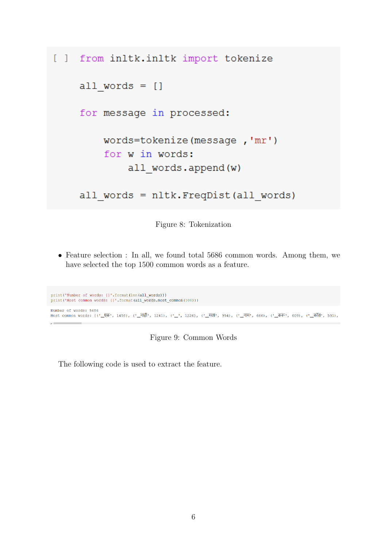```
[ ] from inltk.inltk import tokenize
    all words = []for message in processed:
        words=tokenize(message,'mr')
        for w in words:
             all words.append(w)
    all words = nltk. FreqDist(all words)
```
Figure 8: Tokenization

• Feature selection : In all, we found total 5686 common words. Among them, we have selected the top 1500 common words as a feature.

```
print ('Number of words: {}'.format (len(all_words)))
print ('Most common words: {}'.format(all_words.most_common(100)))
Number of words: 5686
```
мost common words: [('\_एक', 1458), ('\_नाही', 1241), ('\_', 1226), ('\_नला', 954), ('\_नाम', 666), ('\_करू', 609), ('\_कॉल', 591),

Figure 9: Common Words

The following code is used to extract the feature.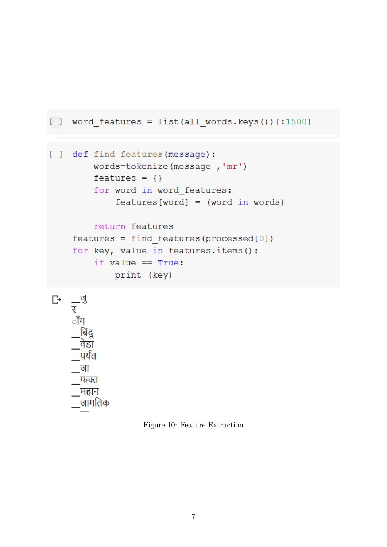```
[ ] word_features = list(all_words.keys())[:1500]
[ ] def find features (message) :
         words=tokenize(message,'mr')
         features = \{\}for word in word features:
              features[word] = (word in words)return features
     features = find features(processed[0])for key, value in features.items():
         if value == True:
             print (key)
\Gamma \frac{1}{3}ाँग
      <u>,बिंदू</u>
     –<br>वेडा
     —<br>पर्यंत
     ाज
     फक्त
     _महान
     जागतिक
```
Figure 10: Feature Extraction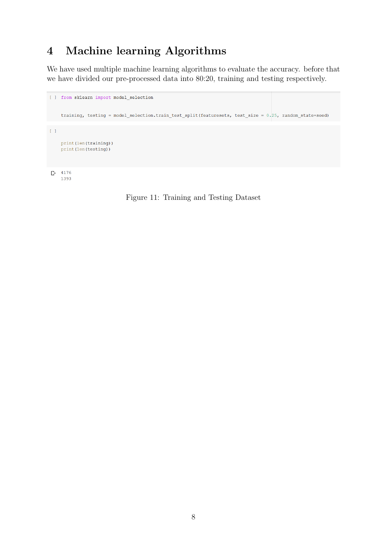## 4 Machine learning Algorithms

We have used multiple machine learning algorithms to evaluate the accuracy. before that we have divided our pre-processed data into 80:20, training and testing respectively.

```
[ ] from sklearn import model_selection
     training, testing = model_selection.train_test_split(featuresets, test_size = 0.25, random_state=seed)
\left[ -1 \right]print (len (training))
     print (len (testing))
 \Gamma 4176
```
1393

Figure 11: Training and Testing Dataset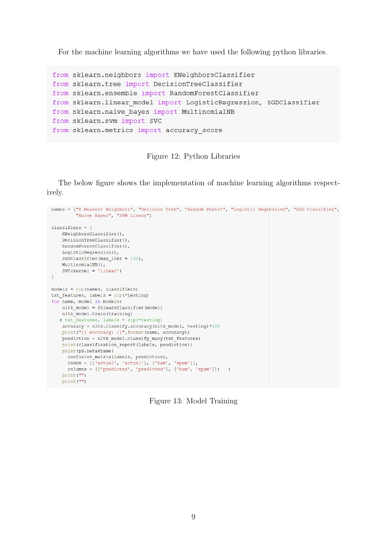For the machine learning algorithms we have used the following python libraries.

from sklearn.neighbors import KNeighborsClassifier from sklearn.tree import DecisionTreeClassifier from sklearn.ensemble import RandomForestClassifier from sklearn.linear model import LogisticRegression, SGDClassifier from sklearn.naive bayes import MultinomialNB from sklearn.svm import SVC from sklearn.metrics import accuracy score

Figure 12: Python Libraries

The below figure shows the implementation of machine learning algorithms respectively.

```
names = ["K Nearest Neighbors", "Decision Tree", "Random Forest", "Logistic Regression", "SGD Classifier",
         "Naive Bayes", "SVM Linear"]
classifiers = [
    KNeighborsClassifier(),
    DecisionTreeClassifier()
    RandomForestClassifier(),
    LogisticRegression(),
    SGDClassifier (max_iter = 100),
    MultinomialNB(),
    SVC(kernel = 'linear')\mathbf{1}models = zip(name, classifiers)txt features, labels = zip (*testing)
for name, model in models:
   nltk_model = SklearnClassifier(model)
   nltk_model.train(training)
   # txt features, labels = zip(*testing)
   accuracy = nltk.classify.accuracy(nltk_model, testing)*100
    print("{} Accuracy: {}".format(name, accuracy))
    \verb|prediction = nltk_model.classify_many(txt_features)|print (classification_report (labels, prediction))
    print(pd.DataFrame(
      confusion_matrix(labels, prediction),
     index = [['actual', 'actual'], ['ham', 'spam']],columns = [['predicted', 'predicted'], ['ham', 'spam']]) )
    print("")print("")
```
Figure 13: Model Training